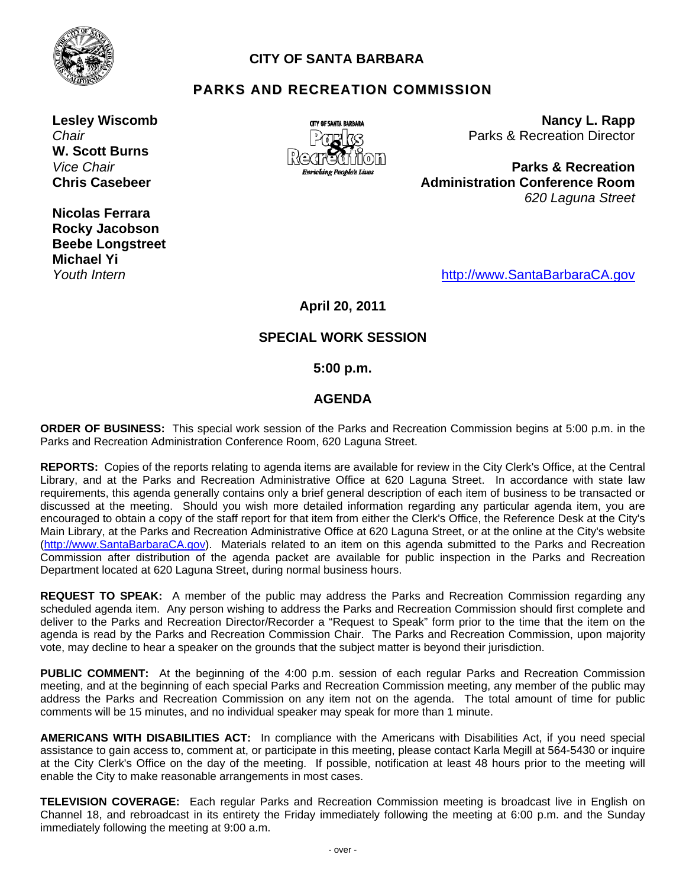

## **CITY OF SANTA BARBARA**

# **PARKS AND RECREATION COMMISSION**

**Lesley Wiscomb**  *Chair*  **W. Scott Burns**  *Vice Chair*  **Chris Casebeer** 

**Nicolas Ferrara Rocky Jacobson Beebe Longstreet Michael Yi**  *Youth Intern* 



**Nancy L. Rapp** Parks & Recreation Director

**Parks & Recreation Administration Conference Room** *620 Laguna Street*

http://www.SantaBarbaraCA.gov

**April 20, 2011** 

#### **SPECIAL WORK SESSION**

#### **5:00 p.m.**

#### **AGENDA**

**ORDER OF BUSINESS:** This special work session of the Parks and Recreation Commission begins at 5:00 p.m. in the Parks and Recreation Administration Conference Room, 620 Laguna Street.

**REPORTS:** Copies of the reports relating to agenda items are available for review in the City Clerk's Office, at the Central Library, and at the Parks and Recreation Administrative Office at 620 Laguna Street. In accordance with state law requirements, this agenda generally contains only a brief general description of each item of business to be transacted or discussed at the meeting. Should you wish more detailed information regarding any particular agenda item, you are encouraged to obtain a copy of the staff report for that item from either the Clerk's Office, the Reference Desk at the City's Main Library, at the Parks and Recreation Administrative Office at 620 Laguna Street, or at the online at the City's website (http://www.SantaBarbaraCA.gov). Materials related to an item on this agenda submitted to the Parks and Recreation Commission after distribution of the agenda packet are available for public inspection in the Parks and Recreation Department located at 620 Laguna Street, during normal business hours.

**REQUEST TO SPEAK:** A member of the public may address the Parks and Recreation Commission regarding any scheduled agenda item. Any person wishing to address the Parks and Recreation Commission should first complete and deliver to the Parks and Recreation Director/Recorder a "Request to Speak" form prior to the time that the item on the agenda is read by the Parks and Recreation Commission Chair. The Parks and Recreation Commission, upon majority vote, may decline to hear a speaker on the grounds that the subject matter is beyond their jurisdiction.

**PUBLIC COMMENT:** At the beginning of the 4:00 p.m. session of each regular Parks and Recreation Commission meeting, and at the beginning of each special Parks and Recreation Commission meeting, any member of the public may address the Parks and Recreation Commission on any item not on the agenda. The total amount of time for public comments will be 15 minutes, and no individual speaker may speak for more than 1 minute.

**AMERICANS WITH DISABILITIES ACT:** In compliance with the Americans with Disabilities Act, if you need special assistance to gain access to, comment at, or participate in this meeting, please contact Karla Megill at 564-5430 or inquire at the City Clerk's Office on the day of the meeting. If possible, notification at least 48 hours prior to the meeting will enable the City to make reasonable arrangements in most cases.

**TELEVISION COVERAGE:** Each regular Parks and Recreation Commission meeting is broadcast live in English on Channel 18, and rebroadcast in its entirety the Friday immediately following the meeting at 6:00 p.m. and the Sunday immediately following the meeting at 9:00 a.m.